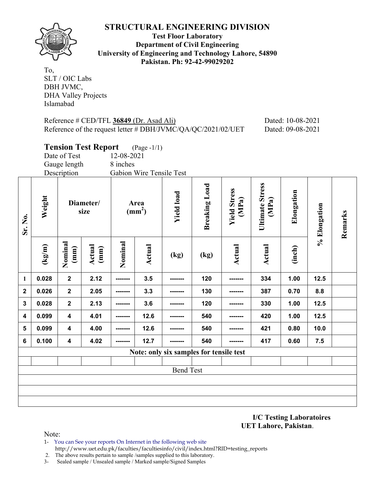

**Test Floor Laboratory Department of Civil Engineering University of Engineering and Technology Lahore, 54890 Pakistan. Ph: 92-42-99029202** 

To, SLT / OIC Labs DBH JVMC, DHA Valley Projects Islamabad

## Reference # CED/TFL **36849** (Dr. Asad Ali) Dated: 10-08-2021 Reference of the request letter # DBH/JVMC/QA/QC/2021/02/UET Dated: 09-08-2021

|                |                                         |                         | <b>Tension Test Report</b> |                         | $(Page - 1/1)$           |                   |                      |                              |                                 |            |              |         |
|----------------|-----------------------------------------|-------------------------|----------------------------|-------------------------|--------------------------|-------------------|----------------------|------------------------------|---------------------------------|------------|--------------|---------|
|                |                                         | Date of Test            |                            | 12-08-2021              |                          |                   |                      |                              |                                 |            |              |         |
|                |                                         | Gauge length            |                            | 8 inches                |                          |                   |                      |                              |                                 |            |              |         |
|                |                                         | Description             |                            |                         | Gabion Wire Tensile Test |                   |                      |                              |                                 |            |              |         |
| Sr. No.        | Weight                                  |                         | Diameter/<br>size          | Area<br>$\text{(mm}^2)$ |                          | <b>Yield load</b> | <b>Breaking Load</b> | <b>Yield Stress</b><br>(MPa) | <b>Ultimate Stress</b><br>(MPa) | Elongation | % Elongation | Remarks |
|                | (kg/m)                                  | Nominal<br>(mm)         | Actual<br>(mm)             | Nominal                 | Actual                   | (kg)              | (kg)                 | Actual                       | <b>Actual</b>                   | (inch)     |              |         |
| $\mathbf{1}$   | 0.028                                   | $\mathbf 2$             | 2.12                       |                         | 3.5                      |                   | 120                  |                              | 334                             | 1.00       | 12.5         |         |
| $\mathbf{2}$   | 0.026                                   | $\mathbf{2}$            | 2.05                       |                         | 3.3                      |                   | 130                  |                              | 387                             | 0.70       | 8.8          |         |
| $\mathbf{3}$   | 0.028                                   | $\mathbf{2}$            | 2.13                       |                         | 3.6                      |                   | 120                  |                              | 330                             | 1.00       | 12.5         |         |
| 4              | 0.099                                   | $\overline{\mathbf{4}}$ | 4.01                       |                         | 12.6                     |                   | 540                  |                              | 420                             | 1.00       | 12.5         |         |
| $5\phantom{a}$ | 0.099                                   | $\overline{\mathbf{4}}$ | 4.00                       |                         | 12.6                     |                   | 540                  |                              | 421                             | 0.80       | 10.0         |         |
| 6              | 0.100                                   | $\overline{\mathbf{4}}$ | 4.02                       |                         | 12.7                     | -------           | 540                  |                              | 417                             | 0.60       | 7.5          |         |
|                | Note: only six samples for tensile test |                         |                            |                         |                          |                   |                      |                              |                                 |            |              |         |
|                |                                         |                         |                            |                         |                          |                   |                      |                              |                                 |            |              |         |
|                |                                         |                         |                            |                         |                          | <b>Bend Test</b>  |                      |                              |                                 |            |              |         |
|                |                                         |                         |                            |                         |                          |                   |                      |                              |                                 |            |              |         |
|                |                                         |                         |                            |                         |                          |                   |                      |                              |                                 |            |              |         |
|                |                                         |                         |                            |                         |                          |                   |                      |                              |                                 |            |              |         |

**I/C Testing Laboratoires UET Lahore, Pakistan**.

- 1- You can See your reports On Internet in the following web site http://www.uet.edu.pk/faculties/facultiesinfo/civil/index.html?RID=testing\_reports
- 2. The above results pertain to sample /samples supplied to this laboratory.
- 3- Sealed sample / Unsealed sample / Marked sample/Signed Samples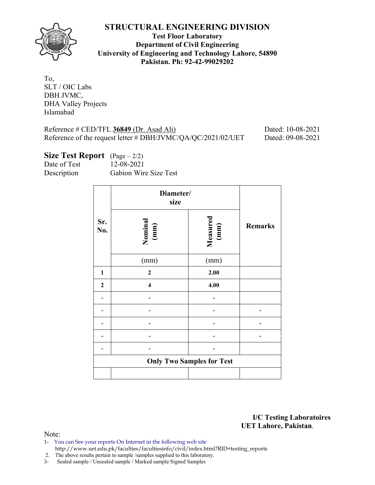

**Test Floor Laboratory Department of Civil Engineering University of Engineering and Technology Lahore, 54890 Pakistan. Ph: 92-42-99029202** 

| To,                        |
|----------------------------|
| SLT / OIC Labs             |
| DBH JVMC,                  |
| <b>DHA Valley Projects</b> |
| Islamabad                  |

Reference # CED/TFL **36849** (Dr. Asad Ali) Dated: 10-08-2021 Reference of the request letter # DBH/JVMC/QA/QC/2021/02/UET Dated: 09-08-2021

**Size Test Report** (Page – 2/2) Date of Test 12-08-2021 Description Gabion Wire Size Test

|                  | Diameter/<br>size       |                                  |                |
|------------------|-------------------------|----------------------------------|----------------|
| Sr.<br>No.       | Nominal<br>(mm)         | Measured<br>(mm)                 | <b>Remarks</b> |
|                  | (mm)                    | (mm)                             |                |
| $\mathbf{1}$     | $\mathbf{2}$            | 2.00                             |                |
| $\boldsymbol{2}$ | $\overline{\mathbf{4}}$ | 4.00                             |                |
|                  |                         |                                  |                |
|                  |                         |                                  |                |
|                  |                         |                                  |                |
|                  |                         |                                  |                |
|                  |                         |                                  |                |
|                  |                         | <b>Only Two Samples for Test</b> |                |
|                  |                         |                                  |                |

**I/C Testing Laboratoires UET Lahore, Pakistan**.

- 1- You can See your reports On Internet in the following web site http://www.uet.edu.pk/faculties/facultiesinfo/civil/index.html?RID=testing\_reports
- 2. The above results pertain to sample /samples supplied to this laboratory.
- 3- Sealed sample / Unsealed sample / Marked sample/Signed Samples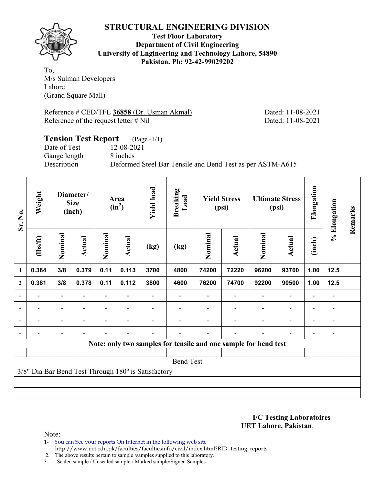

**Test Floor Laboratory Department of Civil Engineering University of Engineering and Technology Lahore, 54890 Pakistan. Ph: 92-42-99029202** 

To, M/s Sulman Developers Lahore (Grand Square Mall)

Reference # CED/TFL **36858** (Dr. Usman Akmal) Dated: 11-08-2021 Reference of the request letter # Nil Dated: 11-08-2021

#### **Tension Test Report** (Page -1/1) Date of Test 12-08-2021 Gauge length 8 inches Description Deformed Steel Bar Tensile and Bend Test as per ASTM-A615

| Weight<br>Sr. No. |                          | Diameter/<br><b>Size</b><br>(inch) |        | Area<br>$(in^2)$ | <b>Yield load</b>        | <b>Breaking</b><br>Load                             |                  | <b>Yield Stress</b><br>(psi) |                                                                 | <b>Ultimate Stress</b><br>(psi) | Elongation               | % Elongation             | Remarks                  |  |
|-------------------|--------------------------|------------------------------------|--------|------------------|--------------------------|-----------------------------------------------------|------------------|------------------------------|-----------------------------------------------------------------|---------------------------------|--------------------------|--------------------------|--------------------------|--|
|                   | (1bs/ft)                 | Nominal                            | Actual | Nominal          | Actual                   | (kg)                                                | (kg)             | Nominal                      | <b>Actual</b>                                                   | Nominal                         | <b>Actual</b>            | (inch)                   |                          |  |
| $\mathbf{1}$      | 0.384                    | 3/8                                | 0.379  | 0.11             | 0.113                    | 3700                                                | 4800             | 74200                        | 72220                                                           | 96200                           | 93700                    | 1.00                     | $12.5$                   |  |
| $\overline{2}$    | 0.381                    | 3/8                                | 0.378  | 0.11             | 0.112                    | 3800                                                | 4600             | 76200                        | 74700                                                           | 92200                           | 90500                    | 1.00                     | $12.5$                   |  |
| $\blacksquare$    | $\overline{\phantom{0}}$ | $\overline{\phantom{0}}$           |        |                  | $\overline{\phantom{0}}$ |                                                     |                  | $\blacksquare$               | $\overline{\phantom{a}}$                                        | $\overline{\phantom{0}}$        | $\overline{\phantom{a}}$ | $\blacksquare$           | $\blacksquare$           |  |
| $\blacksquare$    | $\overline{\phantom{0}}$ | $\overline{\phantom{0}}$           | ۰      |                  | $\overline{\phantom{0}}$ |                                                     |                  |                              | $\overline{\phantom{0}}$                                        | $\overline{\phantom{0}}$        | Ξ.                       | $\overline{\phantom{a}}$ | $\blacksquare$           |  |
|                   | $\overline{\phantom{0}}$ | $\overline{\phantom{0}}$           | ۰      |                  |                          |                                                     |                  |                              | $\blacksquare$                                                  |                                 | -                        | $\blacksquare$           | $\overline{\phantom{a}}$ |  |
|                   |                          |                                    |        |                  |                          |                                                     |                  |                              |                                                                 |                                 | $\overline{a}$           |                          |                          |  |
|                   |                          |                                    |        |                  |                          |                                                     |                  |                              | Note: only two samples for tensile and one sample for bend test |                                 |                          |                          |                          |  |
|                   |                          |                                    |        |                  |                          |                                                     |                  |                              |                                                                 |                                 |                          |                          |                          |  |
|                   |                          |                                    |        |                  |                          |                                                     | <b>Bend Test</b> |                              |                                                                 |                                 |                          |                          |                          |  |
|                   |                          |                                    |        |                  |                          | 3/8" Dia Bar Bend Test Through 180° is Satisfactory |                  |                              |                                                                 |                                 |                          |                          |                          |  |
|                   |                          |                                    |        |                  |                          |                                                     |                  |                              |                                                                 |                                 |                          |                          |                          |  |
|                   |                          |                                    |        |                  |                          |                                                     |                  |                              |                                                                 |                                 |                          |                          |                          |  |

**I/C Testing Laboratoires UET Lahore, Pakistan**.

Note:

1- You can See your reports On Internet in the following web site http://www.uet.edu.pk/faculties/facultiesinfo/civil/index.html?RID=testing\_reports

2. The above results pertain to sample /samples supplied to this laboratory.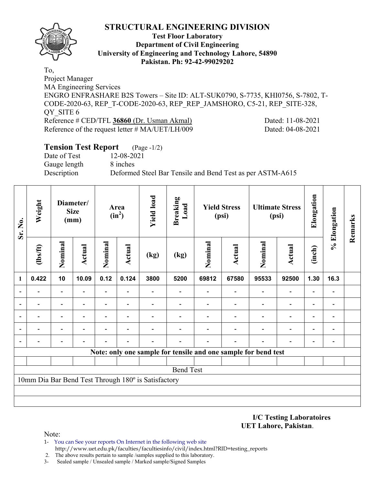

#### **Test Floor Laboratory Department of Civil Engineering University of Engineering and Technology Lahore, 54890 Pakistan. Ph: 92-42-99029202**

To, Project Manager MA Engineering Services ENGRO ENFRASHARE B2S Towers – Site ID: ALT-SUK0790, S-7735, KHI0756, S-7802, T-CODE-2020-63, REP\_T-CODE-2020-63, REP\_REP\_JAMSHORO, C5-21, REP\_SITE-328, OY SITE 6 Reference # CED/TFL **36860** (Dr. Usman Akmal) Dated: 11-08-2021 Reference of the request letter # MA/UET/LH/009 Dated: 04-08-2021

# **Tension Test Report** (Page -1/2) Date of Test 12-08-2021 Gauge length 8 inches Description Deformed Steel Bar Tensile and Bend Test as per ASTM-A615

| Sr. No.        | Weight         |                          | Diameter/<br><b>Size</b><br>(mm) |                          | Area<br>$(in^2)$         | <b>Yield load</b>                                   | <b>Breaking</b><br>Load |         | <b>Yield Stress</b><br>(psi)                                   |         | <b>Ultimate Stress</b><br>(psi) | Elongation               | % Elongation             | Remarks |
|----------------|----------------|--------------------------|----------------------------------|--------------------------|--------------------------|-----------------------------------------------------|-------------------------|---------|----------------------------------------------------------------|---------|---------------------------------|--------------------------|--------------------------|---------|
|                | $\frac{2}{10}$ | Nominal                  | <b>Actual</b>                    | Nominal                  | Actual                   | (kg)                                                | (kg)                    | Nominal | <b>Actual</b>                                                  | Nominal | <b>Actual</b>                   | (inch)                   |                          |         |
| 1              | 0.422          | 10                       | 10.09                            | 0.12                     | 0.124                    | 3800                                                | 5200                    | 69812   | 67580                                                          | 95533   | 92500                           | 1.30                     | 16.3                     |         |
|                |                |                          |                                  | $\overline{\phantom{0}}$ |                          |                                                     |                         |         |                                                                |         | $\overline{\phantom{0}}$        |                          |                          |         |
|                |                | $\overline{\phantom{0}}$ |                                  | $\overline{\phantom{0}}$ |                          |                                                     |                         |         |                                                                |         | $\overline{\phantom{0}}$        |                          |                          |         |
| $\blacksquare$ |                | $\overline{\phantom{0}}$ |                                  | $\overline{\phantom{0}}$ | $\overline{\phantom{0}}$ |                                                     |                         |         |                                                                |         | $\overline{\phantom{0}}$        | $\overline{\phantom{0}}$ | $\overline{\phantom{0}}$ |         |
|                |                |                          |                                  |                          |                          |                                                     |                         |         |                                                                |         |                                 |                          |                          |         |
|                |                |                          |                                  |                          |                          |                                                     |                         |         |                                                                |         |                                 |                          | $\overline{a}$           |         |
|                |                |                          |                                  |                          |                          |                                                     |                         |         | Note: only one sample for tensile and one sample for bend test |         |                                 |                          |                          |         |
|                |                |                          |                                  |                          |                          |                                                     |                         |         |                                                                |         |                                 |                          |                          |         |
|                |                |                          |                                  |                          |                          |                                                     | <b>Bend Test</b>        |         |                                                                |         |                                 |                          |                          |         |
|                |                |                          |                                  |                          |                          | 10mm Dia Bar Bend Test Through 180° is Satisfactory |                         |         |                                                                |         |                                 |                          |                          |         |
|                |                |                          |                                  |                          |                          |                                                     |                         |         |                                                                |         |                                 |                          |                          |         |
|                |                |                          |                                  |                          |                          |                                                     |                         |         |                                                                |         |                                 |                          |                          |         |

**I/C Testing Laboratoires UET Lahore, Pakistan**.

- 1- You can See your reports On Internet in the following web site http://www.uet.edu.pk/faculties/facultiesinfo/civil/index.html?RID=testing\_reports
- 2. The above results pertain to sample /samples supplied to this laboratory.
- 3- Sealed sample / Unsealed sample / Marked sample/Signed Samples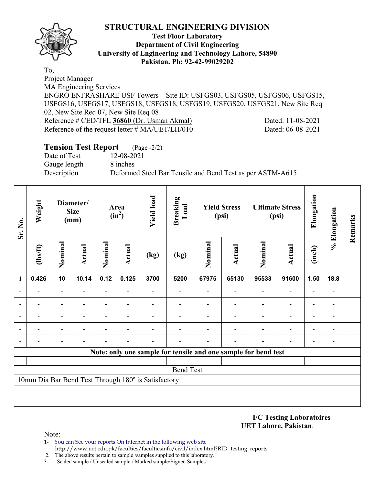

#### **Test Floor Laboratory Department of Civil Engineering University of Engineering and Technology Lahore, 54890 Pakistan. Ph: 92-42-99029202**

To, Project Manager MA Engineering Services ENGRO ENFRASHARE USF Towers – Site ID: USFGS03, USFGS05, USFGS06, USFGS15, USFGS16, USFGS17, USFGS18, USFGS18, USFGS19, USFGS20, USFGS21, New Site Req 02, New Site Req 07, New Site Req 08 Reference # CED/TFL **36860** (Dr. Usman Akmal) Dated: 11-08-2021 Reference of the request letter # MA/UET/LH/010 Dated: 06-08-2021

# **Tension Test Report** (Page -2/2) Date of Test 12-08-2021 Gauge length 8 inches Description Deformed Steel Bar Tensile and Bend Test as per ASTM-A615

| Sr. No. | Weight                   |                          | Diameter/<br><b>Size</b><br>(mm) |                          | Area<br>$(in^2)$         | <b>Yield load</b>                                   | <b>Breaking</b><br>Load |         | <b>Yield Stress</b><br>(psi)                                   |         | <b>Ultimate Stress</b><br>(psi) | Elongation               | % Elongation             | Remarks |
|---------|--------------------------|--------------------------|----------------------------------|--------------------------|--------------------------|-----------------------------------------------------|-------------------------|---------|----------------------------------------------------------------|---------|---------------------------------|--------------------------|--------------------------|---------|
|         | $\frac{2}{10}$           | Nominal                  | <b>Actual</b>                    | Nominal                  | Actual                   | (kg)                                                | (kg)                    | Nominal | <b>Actual</b>                                                  | Nominal | <b>Actual</b>                   | (inch)                   |                          |         |
| 1       | 0.426                    | 10                       | 10.14                            | 0.12                     | 0.125                    | 3700                                                | 5200                    | 67975   | 65130                                                          | 95533   | 91600                           | 1.50                     | 18.8                     |         |
|         |                          | $\overline{a}$           |                                  |                          |                          |                                                     |                         |         |                                                                |         |                                 |                          |                          |         |
|         | $\overline{\phantom{0}}$ | -                        |                                  | $\overline{\phantom{0}}$ | ۰                        |                                                     |                         |         |                                                                |         | $\overline{a}$                  | $\overline{\phantom{0}}$ | $\overline{\phantom{a}}$ |         |
|         |                          | $\overline{\phantom{a}}$ | $\overline{\phantom{0}}$         | -                        | $\overline{\phantom{0}}$ |                                                     |                         |         |                                                                |         | $\overline{\phantom{0}}$        | $\overline{\phantom{0}}$ | $\blacksquare$           |         |
|         |                          |                          |                                  |                          |                          |                                                     |                         |         |                                                                |         | $\overline{\phantom{0}}$        | $\overline{\phantom{0}}$ |                          |         |
|         |                          |                          |                                  |                          |                          |                                                     |                         |         |                                                                |         |                                 |                          |                          |         |
|         |                          |                          |                                  |                          |                          |                                                     |                         |         | Note: only one sample for tensile and one sample for bend test |         |                                 |                          |                          |         |
|         |                          |                          |                                  |                          |                          |                                                     |                         |         |                                                                |         |                                 |                          |                          |         |
|         |                          |                          |                                  |                          |                          |                                                     | <b>Bend Test</b>        |         |                                                                |         |                                 |                          |                          |         |
|         |                          |                          |                                  |                          |                          | 10mm Dia Bar Bend Test Through 180° is Satisfactory |                         |         |                                                                |         |                                 |                          |                          |         |
|         |                          |                          |                                  |                          |                          |                                                     |                         |         |                                                                |         |                                 |                          |                          |         |
|         |                          |                          |                                  |                          |                          |                                                     |                         |         |                                                                |         |                                 |                          |                          |         |

**I/C Testing Laboratoires UET Lahore, Pakistan**.

- 1- You can See your reports On Internet in the following web site http://www.uet.edu.pk/faculties/facultiesinfo/civil/index.html?RID=testing\_reports
- 2. The above results pertain to sample /samples supplied to this laboratory.
- 3- Sealed sample / Unsealed sample / Marked sample/Signed Samples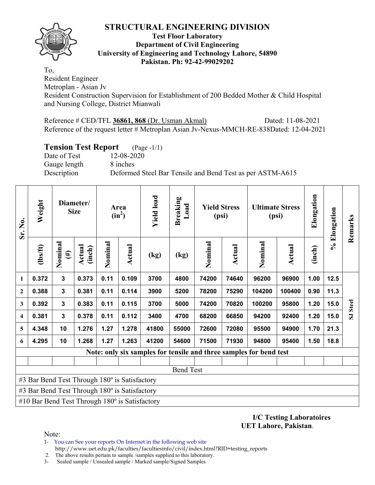

#### **Test Floor Laboratory Department of Civil Engineering University of Engineering and Technology Lahore, 54890 Pakistan. Ph: 92-42-99029202**

To, Resident Engineer

Metroplan - Asian Jv

Resident Construction Supervision for Establishment of 200 Bedded Mother & Child Hospital and Nursing College, District Mianwali

Reference # CED/TFL **36861, 868** (Dr. Usman Akmal) Dated: 11-08-2021 Reference of the request letter # Metroplan Asian Jv-Nexus-MMCH-RE-838Dated: 12-04-2021

# **Tension Test Report** (Page -1/1)

Date of Test 12-08-2020 Gauge length 8 inches

Description Deformed Steel Bar Tensile and Bend Test as per ASTM-A615

| Sr. No.                 | Weight                                         |                   | Diameter/<br><b>Size</b> |         | Area<br>$(in^2)$ | <b>Yield load</b> | <b>Breaking</b><br>Load | <b>Yield Stress</b><br>(psi) |        | <b>Ultimate Stress</b><br>(psi)                                    |        | Elongation | % Elongation | Remarks  |
|-------------------------|------------------------------------------------|-------------------|--------------------------|---------|------------------|-------------------|-------------------------|------------------------------|--------|--------------------------------------------------------------------|--------|------------|--------------|----------|
|                         | $\frac{2}{10}$                                 | Nominal<br>$(\#)$ | Actual<br>(inch)         | Nominal | <b>Actual</b>    | (kg)              | (kg)                    | Nominal                      | Actual | Nominal                                                            | Actual | (inch)     |              |          |
| 1                       | 0.372                                          | 3                 | 0.373                    | 0.11    | 0.109            | 3700              | 4800                    | 74200                        | 74640  | 96200                                                              | 96900  | 1.00       | 12.5         |          |
| $\mathbf{2}$            | 0.388                                          | $\mathbf 3$       | 0.381                    | 0.11    | 0.114            | 3900              | 5200                    | 78200                        | 75290  | 104200                                                             | 100400 | 0.90       | 11.3         |          |
| 3                       | 0.392                                          | $\mathbf 3$       | 0.383                    | 0.11    | 0.115            | 3700              | 5000                    | 74200                        | 70820  | 100200                                                             | 95800  | 1.20       | 15.0         | SJ Steel |
| $\overline{\mathbf{4}}$ | 0.381                                          | $\mathbf{3}$      | 0.378                    | 0.11    | 0.112            | 3400              | 4700                    | 68200                        | 66850  | 94200                                                              | 92400  | 1.20       | 15.0         |          |
| 5                       | 4.348                                          | 10                | 1.276                    | 1.27    | 1.278            | 41800             | 55000                   | 72600                        | 72080  | 95500                                                              | 94900  | 1.70       | 21.3         |          |
| 6                       | 4.295                                          | 10                | 1.268                    | 1.27    | 1.263            | 41200             | 54600                   | 71500                        | 71930  | 94800                                                              | 95400  | 1.50       | 18.8         |          |
|                         |                                                |                   |                          |         |                  |                   |                         |                              |        | Note: only six samples for tensile and three samples for bend test |        |            |              |          |
|                         |                                                |                   |                          |         |                  |                   |                         |                              |        |                                                                    |        |            |              |          |
|                         |                                                |                   |                          |         |                  |                   | <b>Bend Test</b>        |                              |        |                                                                    |        |            |              |          |
|                         | #3 Bar Bend Test Through 180° is Satisfactory  |                   |                          |         |                  |                   |                         |                              |        |                                                                    |        |            |              |          |
|                         | #3 Bar Bend Test Through 180° is Satisfactory  |                   |                          |         |                  |                   |                         |                              |        |                                                                    |        |            |              |          |
|                         | #10 Bar Bend Test Through 180° is Satisfactory |                   |                          |         |                  |                   |                         |                              |        |                                                                    |        |            |              |          |

**I/C Testing Laboratoires UET Lahore, Pakistan**.

Note:

- 1- You can See your reports On Internet in the following web site http://www.uet.edu.pk/faculties/facultiesinfo/civil/index.html?RID=testing\_reports
- 2. The above results pertain to sample /samples supplied to this laboratory.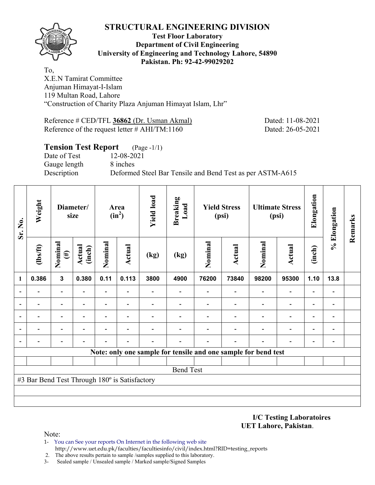

#### **Test Floor Laboratory Department of Civil Engineering University of Engineering and Technology Lahore, 54890 Pakistan. Ph: 92-42-99029202**

To, X.E.N Tamirat Committee Anjuman Himayat-I-Islam 119 Multan Road, Lahore "Construction of Charity Plaza Anjuman Himayat Islam, Lhr"

Reference # CED/TFL **36862** (Dr. Usman Akmal) Dated: 11-08-2021 Reference of the request letter # AHI/TM:1160 Dated: 26-05-2021

# **Tension Test Report** (Page -1/1) Date of Test 12-08-2021 Gauge length 8 inches Description Deformed Steel Bar Tensile and Bend Test as per ASTM-A615

| Sr. No. | Weight                                        |                   | Diameter/<br>size       |         | Area<br>$(in^2)$ | <b>Yield load</b> | <b>Breaking</b><br>Load                                        |         | <b>Yield Stress</b><br>(psi) |         | <b>Ultimate Stress</b><br>(psi) | Elongation | % Elongation             | Remarks |
|---------|-----------------------------------------------|-------------------|-------------------------|---------|------------------|-------------------|----------------------------------------------------------------|---------|------------------------------|---------|---------------------------------|------------|--------------------------|---------|
|         | $\frac{2}{10}$                                | Nominal<br>$(\#)$ | <b>Actual</b><br>(inch) | Nominal | Actual           | (kg)              | (kg)                                                           | Nominal | <b>Actual</b>                | Nominal | <b>Actual</b>                   | (inch)     |                          |         |
| 1       | 0.386                                         | $\mathbf{3}$      | 0.380                   | 0.11    | 0.113            | 3800              | 4900                                                           | 76200   | 73840                        | 98200   | 95300                           | 1.10       | 13.8                     |         |
|         |                                               |                   |                         |         |                  |                   |                                                                |         |                              |         |                                 |            |                          |         |
|         |                                               |                   |                         |         |                  |                   |                                                                |         |                              |         |                                 |            |                          |         |
|         |                                               | ۰                 |                         | -       |                  |                   |                                                                |         |                              |         | $\blacksquare$                  |            |                          |         |
|         |                                               | ۰                 |                         | Ξ.      | $\blacksquare$   |                   |                                                                |         |                              |         | $\blacksquare$                  |            |                          |         |
|         |                                               |                   |                         |         |                  |                   |                                                                |         |                              |         |                                 |            | $\overline{\phantom{0}}$ |         |
|         |                                               |                   |                         |         |                  |                   | Note: only one sample for tensile and one sample for bend test |         |                              |         |                                 |            |                          |         |
|         |                                               |                   |                         |         |                  |                   |                                                                |         |                              |         |                                 |            |                          |         |
|         |                                               |                   |                         |         |                  |                   | <b>Bend Test</b>                                               |         |                              |         |                                 |            |                          |         |
|         | #3 Bar Bend Test Through 180° is Satisfactory |                   |                         |         |                  |                   |                                                                |         |                              |         |                                 |            |                          |         |
|         |                                               |                   |                         |         |                  |                   |                                                                |         |                              |         |                                 |            |                          |         |
|         |                                               |                   |                         |         |                  |                   |                                                                |         |                              |         |                                 |            |                          |         |

**I/C Testing Laboratoires UET Lahore, Pakistan**.

- 1- You can See your reports On Internet in the following web site http://www.uet.edu.pk/faculties/facultiesinfo/civil/index.html?RID=testing\_reports
- 2. The above results pertain to sample /samples supplied to this laboratory.
- 3- Sealed sample / Unsealed sample / Marked sample/Signed Samples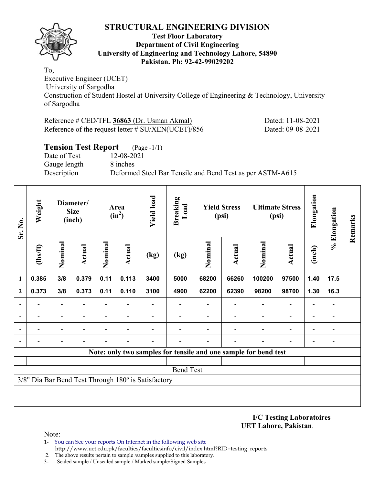

#### **Test Floor Laboratory Department of Civil Engineering University of Engineering and Technology Lahore, 54890 Pakistan. Ph: 92-42-99029202**

To, Executive Engineer (UCET) University of Sargodha Construction of Student Hostel at University College of Engineering & Technology, University of Sargodha

| Reference # CED/TFL 36863 (Dr. Usman Akmal)           |  |
|-------------------------------------------------------|--|
| Reference of the request letter $\#$ SU/XEN(UCET)/856 |  |

Dated: 11-08-2021 Dated: 09-08-2021

## **Tension Test Report** (Page -1/1) Date of Test 12-08-2021 Gauge length 8 inches Description Deformed Steel Bar Tensile and Bend Test as per ASTM-A615

| Sr. No.      | Weight         |                          | Diameter/<br><b>Size</b><br>(inch) |                          | Area<br>$(in^2)$         | <b>Yield load</b>                                   | <b>Breaking</b><br>Load |         | <b>Yield Stress</b><br>(psi) |                                                                 | <b>Ultimate Stress</b><br>(psi) | Elongation               | % Elongation                 | Remarks |
|--------------|----------------|--------------------------|------------------------------------|--------------------------|--------------------------|-----------------------------------------------------|-------------------------|---------|------------------------------|-----------------------------------------------------------------|---------------------------------|--------------------------|------------------------------|---------|
|              | $\frac{2}{10}$ | Nominal                  | Actual                             | Nominal                  | Actual                   | (kg)                                                | (kg)                    | Nominal | <b>Actual</b>                | Nominal                                                         | <b>Actual</b>                   | (inch)                   |                              |         |
| 1            | 0.385          | 3/8                      | 0.379                              | 0.11                     | 0.113                    | 3400                                                | 5000                    | 68200   | 66260                        | 100200                                                          | 97500                           | 1.40                     | 17.5                         |         |
| $\mathbf{2}$ | 0.373          | 3/8                      | 0.373                              | 0.11                     | 0.110                    | 3100                                                | 4900                    | 62200   | 62390                        | 98200                                                           | 98700                           | 1.30                     | 16.3                         |         |
|              |                | $\overline{\phantom{0}}$ |                                    | $\overline{\phantom{0}}$ | $\overline{\phantom{a}}$ |                                                     |                         |         |                              |                                                                 | $\overline{\phantom{a}}$        | $\overline{\phantom{0}}$ | $\qquad \qquad \blacksquare$ |         |
|              |                | $\overline{\phantom{0}}$ |                                    | $\overline{\phantom{0}}$ | $\overline{\phantom{a}}$ |                                                     |                         |         |                              |                                                                 | $\overline{\phantom{0}}$        | $\overline{\phantom{0}}$ | $\qquad \qquad \blacksquare$ |         |
|              |                | $\overline{\phantom{0}}$ |                                    |                          |                          |                                                     |                         |         |                              |                                                                 | $\blacksquare$                  | $\overline{\phantom{0}}$ | $\qquad \qquad \blacksquare$ |         |
|              |                | $\overline{\phantom{0}}$ |                                    |                          |                          |                                                     |                         |         |                              |                                                                 |                                 |                          | -                            |         |
|              |                |                          |                                    |                          |                          |                                                     |                         |         |                              | Note: only two samples for tensile and one sample for bend test |                                 |                          |                              |         |
|              |                |                          |                                    |                          |                          |                                                     |                         |         |                              |                                                                 |                                 |                          |                              |         |
|              |                |                          |                                    |                          |                          |                                                     | <b>Bend Test</b>        |         |                              |                                                                 |                                 |                          |                              |         |
|              |                |                          |                                    |                          |                          | 3/8" Dia Bar Bend Test Through 180° is Satisfactory |                         |         |                              |                                                                 |                                 |                          |                              |         |
|              |                |                          |                                    |                          |                          |                                                     |                         |         |                              |                                                                 |                                 |                          |                              |         |
|              |                |                          |                                    |                          |                          |                                                     |                         |         |                              |                                                                 |                                 |                          |                              |         |

**I/C Testing Laboratoires UET Lahore, Pakistan**.

- 1- You can See your reports On Internet in the following web site http://www.uet.edu.pk/faculties/facultiesinfo/civil/index.html?RID=testing\_reports
- 2. The above results pertain to sample /samples supplied to this laboratory.
- 3- Sealed sample / Unsealed sample / Marked sample/Signed Samples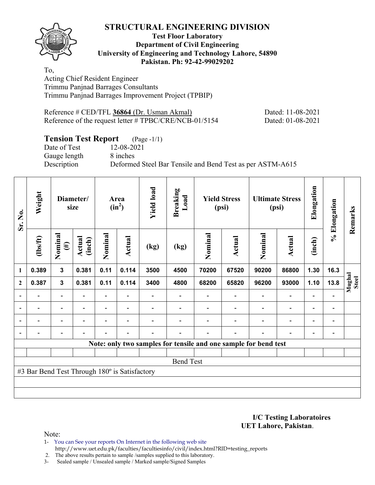**Test Floor Laboratory Department of Civil Engineering University of Engineering and Technology Lahore, 54890 Pakistan. Ph: 92-42-99029202** 

To, Acting Chief Resident Engineer Trimmu Panjnad Barrages Consultants Trimmu Panjnad Barrages Improvement Project (TPBIP)

Reference # CED/TFL **36864** (Dr. Usman Akmal) Dated: 11-08-2021 Reference of the request letter # TPBC/CRE/NCB-01/5154 Dated: 01-08-2021

# **Tension Test Report** (Page -1/1)

Date of Test 12-08-2021 Gauge length 8 inches

Description Deformed Steel Bar Tensile and Bend Test as per ASTM-A615

| Sr. No.                  | Weight                                        |                          | Diameter/<br>size        |                          | Area<br>$(in^2)$         | <b>Yield load</b> | <b>Breaking</b><br>Load |         | <b>Yield Stress</b><br>(psi) |                                                                 | <b>Ultimate Stress</b><br>(psi) | Elongation               | % Elongation                 | Remarks                |
|--------------------------|-----------------------------------------------|--------------------------|--------------------------|--------------------------|--------------------------|-------------------|-------------------------|---------|------------------------------|-----------------------------------------------------------------|---------------------------------|--------------------------|------------------------------|------------------------|
|                          | $\frac{2}{10}$                                | Nominal<br>$(\#)$        | Actual<br>(inch)         | Nominal                  | <b>Actual</b>            | (kg)              | (kg)                    | Nominal | Actual                       | Nominal                                                         | <b>Actual</b>                   | (inch)                   |                              |                        |
| $\mathbf{1}$             | 0.389                                         | 3                        | 0.381                    | 0.11                     | 0.114                    | 3500              | 4500                    | 70200   | 67520                        | 90200                                                           | 86800                           | 1.30                     | 16.3                         |                        |
| $\mathbf{2}$             | 0.387                                         | $\mathbf{3}$             | 0.381                    | 0.11                     | 0.114                    | 3400              | 4800                    | 68200   | 65820                        | 96200                                                           | 93000                           | 1.10                     | 13.8                         | Mughal<br><b>Steel</b> |
|                          |                                               | $\overline{a}$           |                          |                          |                          |                   |                         |         |                              |                                                                 | $\overline{a}$                  |                          |                              |                        |
| $\overline{\phantom{a}}$ | $\overline{\phantom{0}}$                      | $\overline{\phantom{a}}$ | $\overline{\phantom{0}}$ | Ξ.                       | $\overline{\phantom{a}}$ |                   |                         |         | $\overline{\phantom{a}}$     | $\overline{\phantom{a}}$                                        | $\overline{\phantom{a}}$        | $\overline{\phantom{a}}$ | $\overline{\phantom{a}}$     |                        |
|                          | $\overline{\phantom{0}}$                      | $\overline{\phantom{0}}$ | ۰                        | $\overline{a}$           | $\overline{\phantom{0}}$ |                   |                         |         |                              | $\overline{\phantom{0}}$                                        | $\overline{a}$                  | $\overline{\phantom{a}}$ | $\qquad \qquad \blacksquare$ |                        |
| $\blacksquare$           |                                               | Ξ.                       | $\overline{\phantom{0}}$ | $\overline{\phantom{0}}$ | $\blacksquare$           | -                 |                         |         | $\overline{\phantom{0}}$     | $\blacksquare$                                                  | $\overline{a}$                  | -                        | $\qquad \qquad \blacksquare$ |                        |
|                          |                                               |                          |                          |                          |                          |                   |                         |         |                              | Note: only two samples for tensile and one sample for bend test |                                 |                          |                              |                        |
|                          |                                               |                          |                          |                          |                          |                   |                         |         |                              |                                                                 |                                 |                          |                              |                        |
|                          |                                               |                          |                          |                          |                          |                   | <b>Bend Test</b>        |         |                              |                                                                 |                                 |                          |                              |                        |
|                          | #3 Bar Bend Test Through 180° is Satisfactory |                          |                          |                          |                          |                   |                         |         |                              |                                                                 |                                 |                          |                              |                        |
|                          |                                               |                          |                          |                          |                          |                   |                         |         |                              |                                                                 |                                 |                          |                              |                        |
|                          |                                               |                          |                          |                          |                          |                   |                         |         |                              |                                                                 |                                 |                          |                              |                        |

**I/C Testing Laboratoires UET Lahore, Pakistan**.

Note:

1- You can See your reports On Internet in the following web site http://www.uet.edu.pk/faculties/facultiesinfo/civil/index.html?RID=testing\_reports

2. The above results pertain to sample /samples supplied to this laboratory.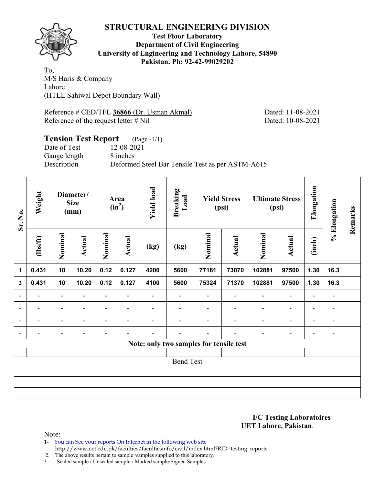

**Test Floor Laboratory Department of Civil Engineering University of Engineering and Technology Lahore, 54890 Pakistan. Ph: 92-42-99029202** 

To, M/S Haris & Company Lahore (HTLL Sahiwal Depot Boundary Wall)

Reference # CED/TFL **36866** (Dr. Usman Akmal) Dated: 11-08-2021 Reference of the request letter # Nil Dated: 10-08-2021

# **Tension Test Report** (Page -1/1)

Date of Test 12-08-2021 Gauge length 8 inches

Description Deformed Steel Bar Tensile Test as per ASTM-A615

| Sr. No.                  | Weight                   |                          | Diameter/<br><b>Size</b><br>(mm) |                          | Area<br>$(in^2)$         | <b>Yield load</b> | <b>Breaking</b><br>Load                 |                          | <b>Yield Stress</b><br>(psi) |                          | <b>Ultimate Stress</b><br>(psi) | Elongation               | % Elongation                 | Remarks |
|--------------------------|--------------------------|--------------------------|----------------------------------|--------------------------|--------------------------|-------------------|-----------------------------------------|--------------------------|------------------------------|--------------------------|---------------------------------|--------------------------|------------------------------|---------|
|                          | $\frac{2}{10}$           | Nominal                  | Actual                           | Nominal                  | Actual                   | (kg)              | (kg)                                    | Nominal                  | Actual                       | Nominal                  | Actual                          | (inch)                   |                              |         |
| $\mathbf{1}$             | 0.431                    | 10                       | 10.20                            | 0.12                     | 0.127                    | 4200              | 5600                                    | 77161                    | 73070                        | 102881                   | 97500                           | 1.30                     | 16.3                         |         |
| $\overline{2}$           | 0.431                    | 10                       | 10.20                            | 0.12                     | 0.127                    | 4100              | 5600                                    | 75324                    | 71370                        | 102881                   | 97500                           | 1.30                     | 16.3                         |         |
| $\overline{\phantom{a}}$ | -                        | $\overline{\phantom{a}}$ | $\overline{\phantom{a}}$         | $\overline{\phantom{a}}$ | $\overline{\phantom{a}}$ |                   | $\overline{\phantom{0}}$                |                          | $\overline{\phantom{a}}$     | $\blacksquare$           | $\overline{\phantom{a}}$        | $\overline{\phantom{a}}$ | $\blacksquare$               |         |
| $\overline{\phantom{a}}$ | $\blacksquare$           | $\overline{\phantom{a}}$ | $\overline{\phantom{0}}$         | $\blacksquare$           | $\overline{\phantom{a}}$ |                   |                                         |                          |                              | $\overline{\phantom{0}}$ | $\overline{\phantom{a}}$        | $\overline{\phantom{a}}$ | $\qquad \qquad \blacksquare$ |         |
| $\overline{\phantom{a}}$ | $\overline{\phantom{a}}$ | $\blacksquare$           | $\overline{\phantom{0}}$         |                          | $\overline{\phantom{a}}$ |                   |                                         |                          | $\blacksquare$               | $\overline{\phantom{0}}$ | $\overline{\phantom{a}}$        | $\overline{\phantom{a}}$ | $\overline{\phantom{a}}$     |         |
| $\overline{\phantom{a}}$ | $\overline{\phantom{0}}$ | $\overline{\phantom{0}}$ | $\overline{\phantom{0}}$         | $\overline{\phantom{0}}$ | $\overline{\phantom{0}}$ |                   | $\overline{\phantom{0}}$                | $\overline{\phantom{0}}$ | ٠                            | $\overline{\phantom{0}}$ | $\overline{\phantom{a}}$        | $\overline{\phantom{a}}$ | $\blacksquare$               |         |
|                          |                          |                          |                                  |                          |                          |                   | Note: only two samples for tensile test |                          |                              |                          |                                 |                          |                              |         |
|                          |                          |                          |                                  |                          |                          |                   |                                         |                          |                              |                          |                                 |                          |                              |         |
|                          |                          |                          |                                  |                          |                          |                   | <b>Bend Test</b>                        |                          |                              |                          |                                 |                          |                              |         |
|                          |                          |                          |                                  |                          |                          |                   |                                         |                          |                              |                          |                                 |                          |                              |         |
|                          |                          |                          |                                  |                          |                          |                   |                                         |                          |                              |                          |                                 |                          |                              |         |
|                          |                          |                          |                                  |                          |                          |                   |                                         |                          |                              |                          |                                 |                          |                              |         |

**I/C Testing Laboratoires UET Lahore, Pakistan**.

Note:

1- You can See your reports On Internet in the following web site http://www.uet.edu.pk/faculties/facultiesinfo/civil/index.html?RID=testing\_reports

2. The above results pertain to sample /samples supplied to this laboratory.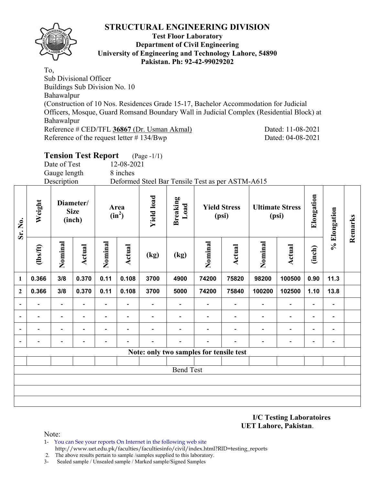

#### **Test Floor Laboratory Department of Civil Engineering University of Engineering and Technology Lahore, 54890 Pakistan. Ph: 92-42-99029202**

To, Sub Divisional Officer Buildings Sub Division No. 10 Bahawalpur (Construction of 10 Nos. Residences Grade 15-17, Bachelor Accommodation for Judicial Officers, Mosque, Guard Romsand Boundary Wall in Judicial Complex (Residential Block) at Bahawalpur Reference # CED/TFL **36867** (Dr. Usman Akmal) Dated: 11-08-2021 Reference of the request letter # 134/Bwp Dated: 04-08-2021

|                   |         | <b>Tension Test Report</b> |                                    |        |                  | $(Page - 1/1)$                                   |                  |        |                              |        |                                 |  |  |  |
|-------------------|---------|----------------------------|------------------------------------|--------|------------------|--------------------------------------------------|------------------|--------|------------------------------|--------|---------------------------------|--|--|--|
|                   |         | Date of Test               |                                    |        | 12-08-2021       |                                                  |                  |        |                              |        |                                 |  |  |  |
| Gauge length      |         |                            |                                    |        | 8 inches         |                                                  |                  |        |                              |        |                                 |  |  |  |
| Description       |         |                            |                                    |        |                  | Deformed Steel Bar Tensile Test as per ASTM-A615 |                  |        |                              |        |                                 |  |  |  |
| Weight<br>Sr. No. |         |                            | Diameter/<br><b>Size</b><br>(inch) |        | Area<br>$(in^2)$ |                                                  | Breaking<br>Load |        | <b>Yield Stress</b><br>(psi) |        | <b>Ultimate Stress</b><br>(psi) |  |  |  |
|                   | $lbsft$ | Nomina                     | Actual                             | Nomina | <b>Actual</b>    | (kg)                                             | (kg)             | Nomina | Actual                       | Nomina | Actual                          |  |  |  |

**1 0.366 3/8 0.370 0.11 0.108 3700 4900 74200 75820 98200 100500 0.90 11.3** 

**2 0.366 3/8 0.370 0.11 0.108 3700 5000 74200 75840 100200 102500 1.10 13.8** 

**- - - - - - - - - - - - - -** 

|                                         | -                        |                          | $\overline{\phantom{0}}$ |                          |  |                  |  | $\overline{\phantom{0}}$ | $\overline{\phantom{0}}$ |  |  |  |  |  |
|-----------------------------------------|--------------------------|--------------------------|--------------------------|--------------------------|--|------------------|--|--------------------------|--------------------------|--|--|--|--|--|
|                                         | $\overline{\phantom{0}}$ | $\overline{\phantom{0}}$ | $\overline{\phantom{0}}$ | $\overline{\phantom{0}}$ |  |                  |  |                          | -                        |  |  |  |  |  |
|                                         | -                        |                          | -                        | $\overline{\phantom{a}}$ |  |                  |  |                          | $\overline{\phantom{0}}$ |  |  |  |  |  |
| Note: only two samples for tensile test |                          |                          |                          |                          |  |                  |  |                          |                          |  |  |  |  |  |
|                                         |                          |                          |                          |                          |  |                  |  |                          |                          |  |  |  |  |  |
|                                         |                          |                          |                          |                          |  | <b>Bend Test</b> |  |                          |                          |  |  |  |  |  |
|                                         |                          |                          |                          |                          |  |                  |  |                          |                          |  |  |  |  |  |
|                                         |                          |                          |                          |                          |  |                  |  |                          |                          |  |  |  |  |  |
|                                         |                          |                          |                          |                          |  |                  |  |                          |                          |  |  |  |  |  |
|                                         |                          |                          |                          |                          |  |                  |  |                          |                          |  |  |  |  |  |

**I/C Testing Laboratoires UET Lahore, Pakistan**.

**Elongation** 

Elongation

**% Elongation** 

% Elongation

**Remarks** 

Remarks

**(inch)** 

Note:

- 1- You can See your reports On Internet in the following web site http://www.uet.edu.pk/faculties/facultiesinfo/civil/index.html?RID=testing\_reports
- 2. The above results pertain to sample /samples supplied to this laboratory.
- 3- Sealed sample / Unsealed sample / Marked sample/Signed Samples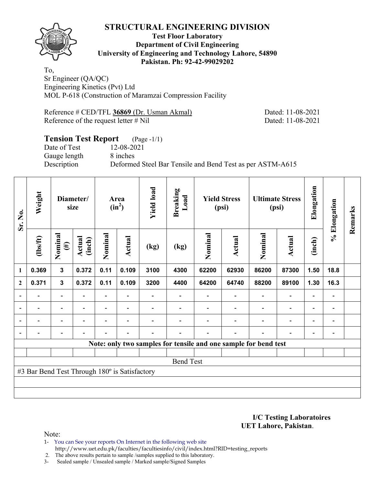

## **Test Floor Laboratory Department of Civil Engineering University of Engineering and Technology Lahore, 54890 Pakistan. Ph: 92-42-99029202**

To, Sr Engineer (QA/QC) Engineering Kinetics (Pvt) Ltd MOL P-618 (Construction of Maramzai Compression Facility

Reference # CED/TFL **36869** (Dr. Usman Akmal) Dated: 11-08-2021 Reference of the request letter # Nil Dated: 11-08-2021

## **Tension Test Report** (Page -1/1) Date of Test 12-08-2021 Gauge length 8 inches Description Deformed Steel Bar Tensile and Bend Test as per ASTM-A615

| Sr. No.        | Weight                                        | Diameter/<br>size        |                          |                | Area<br>$(in^2)$         | <b>Yield load</b> | <b>Breaking</b><br>Load | <b>Yield Stress</b><br>(psi) |                          | <b>Ultimate Stress</b><br>(psi)                                 |                          | Elongation               | % Elongation                 | Remarks |
|----------------|-----------------------------------------------|--------------------------|--------------------------|----------------|--------------------------|-------------------|-------------------------|------------------------------|--------------------------|-----------------------------------------------------------------|--------------------------|--------------------------|------------------------------|---------|
|                | $lbsft$                                       | Nominal<br>$(\#)$        | Actual<br>(inch)         | Nominal        | <b>Actual</b>            | (kg)              | (kg)                    | Nominal                      | <b>Actual</b>            | Nominal                                                         | <b>Actual</b>            | (inch)                   |                              |         |
| 1              | 0.369                                         | $\overline{\mathbf{3}}$  | 0.372                    | 0.11           | 0.109                    | 3100              | 4300                    | 62200                        | 62930                    | 86200                                                           | 87300                    | 1.50                     | 18.8                         |         |
| $\mathbf{2}$   | 0.371                                         | $\mathbf{3}$             | 0.372                    | 0.11           | 0.109                    | 3200              | 4400                    | 64200                        | 64740                    | 88200                                                           | 89100                    | 1.30                     | 16.3                         |         |
|                |                                               | $\overline{\phantom{0}}$ |                          |                |                          |                   |                         |                              |                          |                                                                 | $\overline{\phantom{0}}$ | $\overline{\phantom{0}}$ |                              |         |
| $\overline{a}$ | $\overline{\phantom{0}}$                      | $\blacksquare$           | $\overline{\phantom{a}}$ |                | $\blacksquare$           |                   |                         |                              | $\overline{\phantom{a}}$ | $\overline{\phantom{a}}$                                        | $\overline{\phantom{a}}$ | $\overline{\phantom{a}}$ | $\blacksquare$               |         |
| $\overline{a}$ | -                                             | $\overline{\phantom{0}}$ | $\overline{\phantom{0}}$ |                | $\overline{\phantom{0}}$ |                   |                         |                              |                          | $\overline{\phantom{0}}$                                        | $\overline{a}$           | $\overline{\phantom{0}}$ | $\qquad \qquad \blacksquare$ |         |
| $\blacksquare$ | $\overline{a}$                                | -                        | $\overline{\phantom{0}}$ | $\blacksquare$ | $\blacksquare$           | $\blacksquare$    |                         |                              | $\overline{\phantom{0}}$ | ÷                                                               | $\overline{\phantom{0}}$ | $\overline{\phantom{a}}$ | $\overline{\phantom{0}}$     |         |
|                |                                               |                          |                          |                |                          |                   |                         |                              |                          | Note: only two samples for tensile and one sample for bend test |                          |                          |                              |         |
|                |                                               |                          |                          |                |                          |                   |                         |                              |                          |                                                                 |                          |                          |                              |         |
|                |                                               |                          |                          |                |                          |                   | <b>Bend Test</b>        |                              |                          |                                                                 |                          |                          |                              |         |
|                | #3 Bar Bend Test Through 180° is Satisfactory |                          |                          |                |                          |                   |                         |                              |                          |                                                                 |                          |                          |                              |         |
|                |                                               |                          |                          |                |                          |                   |                         |                              |                          |                                                                 |                          |                          |                              |         |
|                |                                               |                          |                          |                |                          |                   |                         |                              |                          |                                                                 |                          |                          |                              |         |

**I/C Testing Laboratoires UET Lahore, Pakistan**.

Note:

1- You can See your reports On Internet in the following web site http://www.uet.edu.pk/faculties/facultiesinfo/civil/index.html?RID=testing\_reports

2. The above results pertain to sample /samples supplied to this laboratory.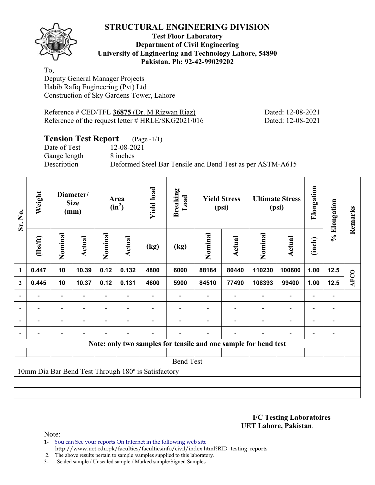

## **Test Floor Laboratory Department of Civil Engineering University of Engineering and Technology Lahore, 54890 Pakistan. Ph: 92-42-99029202**

To, Deputy General Manager Projects Habib Rafiq Engineering (Pvt) Ltd Construction of Sky Gardens Tower, Lahore

Reference # CED/TFL **36875** (Dr. M Rizwan Riaz) Dated: 12-08-2021 Reference of the request letter # HRLE/SKG2021/016 Dated: 12-08-2021

## **Tension Test Report** (Page -1/1)

Date of Test 12-08-2021 Gauge length 8 inches

Description Deformed Steel Bar Tensile and Bend Test as per ASTM-A615

| Sr. No.                  | Weight   | Diameter/<br><b>Size</b><br>(mm) |                          | Area<br>$(in^2)$ |                          | <b>Yield load</b>                                   | <b>Breaking</b><br>Load |         | <b>Yield Stress</b><br>(psi) |                                                                 | <b>Ultimate Stress</b><br>(psi) | Elongation               | % Elongation             | Remarks     |  |  |
|--------------------------|----------|----------------------------------|--------------------------|------------------|--------------------------|-----------------------------------------------------|-------------------------|---------|------------------------------|-----------------------------------------------------------------|---------------------------------|--------------------------|--------------------------|-------------|--|--|
|                          | (1bs/ft) | Nominal                          | Actual                   | Nominal          | <b>Actual</b>            | (kg)                                                | (kg)                    | Nominal | Actual                       | Nominal                                                         | Actual                          | (inch)                   |                          |             |  |  |
| $\mathbf{1}$             | 0.447    | 10                               | 10.39                    | 0.12             | 0.132                    | 4800                                                | 6000                    | 88184   | 80440                        | 110230                                                          | 100600                          | 1.00                     | 12.5                     |             |  |  |
| $\boldsymbol{2}$         | 0.445    | 10                               | 10.37                    | 0.12             | 0.131                    | 4600                                                | 5900                    | 84510   | 77490                        | 108393                                                          | 99400                           | 1.00                     | 12.5                     | <b>AFCO</b> |  |  |
| $\blacksquare$           |          | Ξ.                               |                          |                  |                          |                                                     |                         |         |                              |                                                                 | $\blacksquare$                  | $\overline{\phantom{0}}$ |                          |             |  |  |
| $\overline{\phantom{0}}$ | -        | $\blacksquare$                   | $\overline{\phantom{a}}$ | Ξ.               | $\overline{\phantom{a}}$ |                                                     |                         |         | $\overline{\phantom{a}}$     | $\overline{\phantom{a}}$                                        | $\overline{\phantom{0}}$        | $\qquad \qquad -$        | $\overline{\phantom{0}}$ |             |  |  |
|                          | Ξ.       | Ξ.                               | ۰                        | $\overline{a}$   | $\blacksquare$           |                                                     |                         |         |                              | ÷                                                               | $\overline{\phantom{0}}$        | $\overline{\phantom{a}}$ |                          |             |  |  |
|                          |          | $\overline{\phantom{0}}$         | $\overline{\phantom{0}}$ |                  | $\blacksquare$           |                                                     |                         |         | $\overline{\phantom{a}}$     | $\blacksquare$                                                  | $\overline{a}$                  | $\overline{\phantom{a}}$ |                          |             |  |  |
|                          |          |                                  |                          |                  |                          |                                                     |                         |         |                              | Note: only two samples for tensile and one sample for bend test |                                 |                          |                          |             |  |  |
|                          |          |                                  |                          |                  |                          |                                                     |                         |         |                              |                                                                 |                                 |                          |                          |             |  |  |
|                          |          |                                  |                          |                  |                          |                                                     | <b>Bend Test</b>        |         |                              |                                                                 |                                 |                          |                          |             |  |  |
|                          |          |                                  |                          |                  |                          | 10mm Dia Bar Bend Test Through 180° is Satisfactory |                         |         |                              |                                                                 |                                 |                          |                          |             |  |  |
|                          |          |                                  |                          |                  |                          |                                                     |                         |         |                              |                                                                 |                                 |                          |                          |             |  |  |
|                          |          |                                  |                          |                  |                          |                                                     |                         |         |                              |                                                                 |                                 |                          |                          |             |  |  |

**I/C Testing Laboratoires UET Lahore, Pakistan**.

Note:

1- You can See your reports On Internet in the following web site http://www.uet.edu.pk/faculties/facultiesinfo/civil/index.html?RID=testing\_reports

2. The above results pertain to sample /samples supplied to this laboratory.